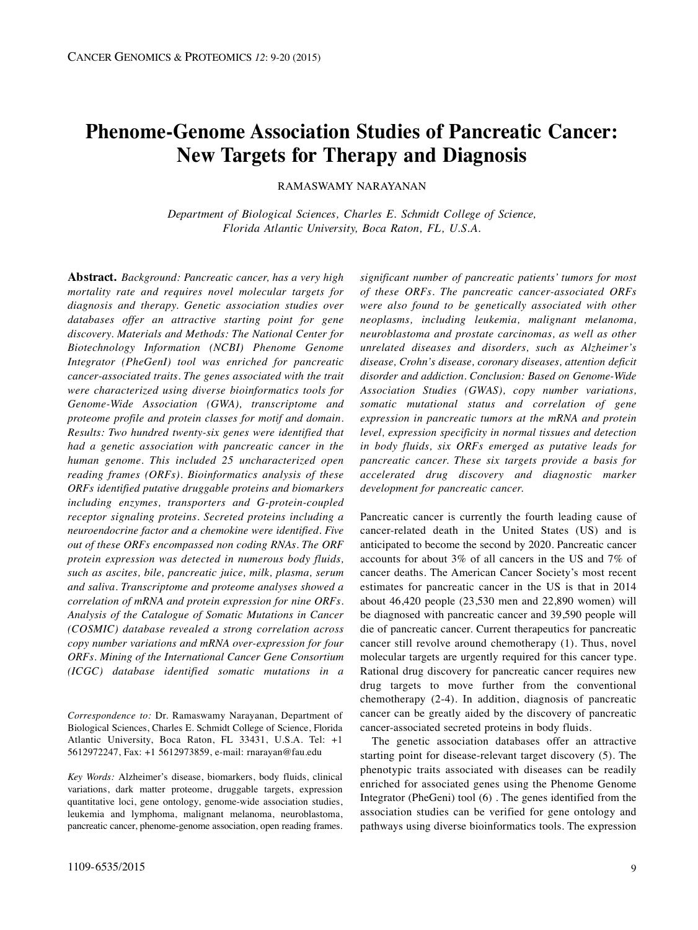# **Phenome-Genome Association Studies of Pancreatic Cancer: New Targets for Therapy and Diagnosis**

RAMASWAMY NARAYANAN

*Department of Biological Sciences, Charles E. Schmidt College of Science, Florida Atlantic University, Boca Raton, FL, U.S.A.*

**Abstract.** *Background: Pancreatic cancer, has a very high mortality rate and requires novel molecular targets for diagnosis and therapy. Genetic association studies over databases offer an attractive starting point for gene discovery. Materials and Methods: The National Center for Biotechnology Information (NCBI) Phenome Genome Integrator (PheGenI) tool was enriched for pancreatic cancer-associated traits. The genes associated with the trait were characterized using diverse bioinformatics tools for Genome-Wide Association (GWA), transcriptome and proteome profile and protein classes for motif and domain. Results: Two hundred twenty-six genes were identified that had a genetic association with pancreatic cancer in the human genome. This included 25 uncharacterized open reading frames (ORFs). Bioinformatics analysis of these ORFs identified putative druggable proteins and biomarkers including enzymes, transporters and G-protein-coupled receptor signaling proteins. Secreted proteins including a neuroendocrine factor and a chemokine were identified. Five out of these ORFs encompassed non coding RNAs. The ORF protein expression was detected in numerous body fluids, such as ascites, bile, pancreatic juice, milk, plasma, serum and saliva. Transcriptome and proteome analyses showed a correlation of mRNA and protein expression for nine ORFs. Analysis of the Catalogue of Somatic Mutations in Cancer (COSMIC) database revealed a strong correlation across copy number variations and mRNA over-expression for four ORFs. Mining of the International Cancer Gene Consortium (ICGC) database identified somatic mutations in a*

*Correspondence to:* Dr. Ramaswamy Narayanan, Department of Biological Sciences, Charles E. Schmidt College of Science, Florida Atlantic University, Boca Raton, FL 33431, U.S.A. Tel: +1 5612972247, Fax: +1 5612973859, e-mail: rnarayan@fau.edu

*Key Words:* Alzheimer's disease, biomarkers, body fluids, clinical variations, dark matter proteome, druggable targets, expression quantitative loci, gene ontology, genome-wide association studies, leukemia and lymphoma, malignant melanoma, neuroblastoma, pancreatic cancer, phenome-genome association, open reading frames.

*significant number of pancreatic patients' tumors for most of these ORFs. The pancreatic cancer-associated ORFs were also found to be genetically associated with other neoplasms, including leukemia, malignant melanoma, neuroblastoma and prostate carcinomas, as well as other unrelated diseases and disorders, such as Alzheimer's disease, Crohn's disease, coronary diseases, attention deficit disorder and addiction. Conclusion: Based on Genome-Wide Association Studies (GWAS), copy number variations, somatic mutational status and correlation of gene expression in pancreatic tumors at the mRNA and protein level, expression specificity in normal tissues and detection in body fluids, six ORFs emerged as putative leads for pancreatic cancer. These six targets provide a basis for accelerated drug discovery and diagnostic marker development for pancreatic cancer.*

Pancreatic cancer is currently the fourth leading cause of cancer-related death in the United States (US) and is anticipated to become the second by 2020. Pancreatic cancer accounts for about 3% of all cancers in the US and 7% of cancer deaths. The American Cancer Society's most recent estimates for pancreatic cancer in the US is that in 2014 about 46,420 people (23,530 men and 22,890 women) will be diagnosed with pancreatic cancer and 39,590 people will die of pancreatic cancer. Current therapeutics for pancreatic cancer still revolve around chemotherapy (1). Thus, novel molecular targets are urgently required for this cancer type. Rational drug discovery for pancreatic cancer requires new drug targets to move further from the conventional chemotherapy (2-4). In addition, diagnosis of pancreatic cancer can be greatly aided by the discovery of pancreatic cancer-associated secreted proteins in body fluids.

The genetic association databases offer an attractive starting point for disease-relevant target discovery (5). The phenotypic traits associated with diseases can be readily enriched for associated genes using the Phenome Genome Integrator (PheGeni) tool (6) . The genes identified from the association studies can be verified for gene ontology and pathways using diverse bioinformatics tools. The expression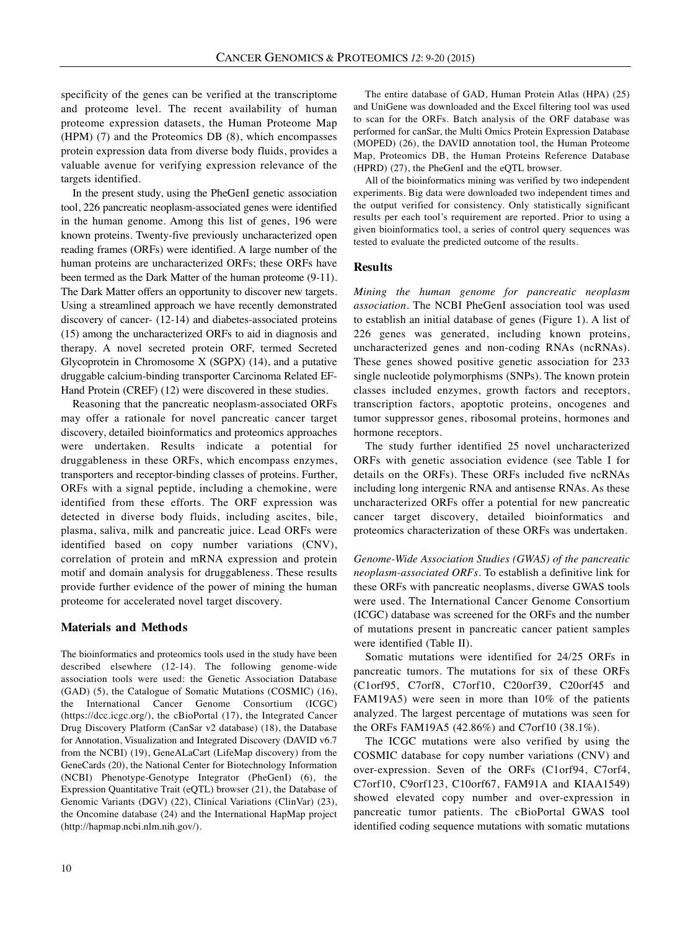specificity of the genes can be verified at the transcriptome and proteome level. The recent availability of human proteome expression datasets, the Human Proteome Map (HPM) (7) and the Proteomics DB (8), which encompasses protein expression data from diverse body fluids, provides a valuable avenue for verifying expression relevance of the targets identified.

In the present study, using the PheGenI genetic association tool, 226 pancreatic neoplasm-associated genes were identified in the human genome. Among this list of genes, 196 were known proteins. Twenty-five previously uncharacterized open reading frames (ORFs) were identified. A large number of the human proteins are uncharacterized ORFs; these ORFs have been termed as the Dark Matter of the human proteome (9-11). The Dark Matter offers an opportunity to discover new targets. Using a streamlined approach we have recently demonstrated discovery of cancer- (12-14) and diabetes-associated proteins (15) among the uncharacterized ORFs to aid in diagnosis and therapy. A novel secreted protein ORF, termed Secreted Glycoprotein in Chromosome X (SGPX) (14), and a putative druggable calcium-binding transporter Carcinoma Related EF-Hand Protein (CREF) (12) were discovered in these studies.

Reasoning that the pancreatic neoplasm-associated ORFs may offer a rationale for novel pancreatic cancer target discovery, detailed bioinformatics and proteomics approaches were undertaken. Results indicate a potential for druggableness in these ORFs, which encompass enzymes, transporters and receptor-binding classes of proteins. Further, ORFs with a signal peptide, including a chemokine, were identified from these efforts. The ORF expression was detected in diverse body fluids, including ascites, bile, plasma, saliva, milk and pancreatic juice. Lead ORFs were identified based on copy number variations (CNV), correlation of protein and mRNA expression and protein motif and domain analysis for druggableness. These results provide further evidence of the power of mining the human proteome for accelerated novel target discovery.

## **Materials and Methods**

The bioinformatics and proteomics tools used in the study have been described elsewhere (12-14). The following genome-wide association tools were used: the Genetic Association Database (GAD) (5), the Catalogue of Somatic Mutations (COSMIC) (16), the International Cancer Genome Consortium (ICGC) (https://dcc.icgc.org/), the cBioPortal (17), the Integrated Cancer Drug Discovery Platform (CanSar v2 database) (18), the Database for Annotation, Visualization and Integrated Discovery (DAVID v6.7 from the NCBI) (19), GeneALaCart (LifeMap discovery) from the GeneCards (20), the National Center for Biotechnology Information (NCBI) Phenotype-Genotype Integrator (PheGenI) (6), the Expression Quantitative Trait (eQTL) browser (21), the Database of Genomic Variants (DGV) (22), Clinical Variations (ClinVar) (23), the Oncomine database (24) and the International HapMap project (http://hapmap.ncbi.nlm.nih.gov/).

The entire database of GAD, Human Protein Atlas (HPA) (25) and UniGene was downloaded and the Excel filtering tool was used to scan for the ORFs. Batch analysis of the ORF database was performed for canSar, the Multi Omics Protein Expression Database (MOPED) (26), the DAVID annotation tool, the Human Proteome Map, Proteomics DB, the Human Proteins Reference Database (HPRD) (27), the PheGenI and the eQTL browser.

All of the bioinformatics mining was verified by two independent experiments. Big data were downloaded two independent times and the output verified for consistency. Only statistically significant results per each tool's requirement are reported. Prior to using a given bioinformatics tool, a series of control query sequences was tested to evaluate the predicted outcome of the results.

#### **Results**

*Mining the human genome for pancreatic neoplasm association.* The NCBI PheGenI association tool was used to establish an initial database of genes (Figure 1). A list of 226 genes was generated, including known proteins, uncharacterized genes and non-coding RNAs (ncRNAs). These genes showed positive genetic association for 233 single nucleotide polymorphisms (SNPs). The known protein classes included enzymes, growth factors and receptors, transcription factors, apoptotic proteins, oncogenes and tumor suppressor genes, ribosomal proteins, hormones and hormone receptors.

The study further identified 25 novel uncharacterized ORFs with genetic association evidence (see Table I for details on the ORFs). These ORFs included five ncRNAs including long intergenic RNA and antisense RNAs. As these uncharacterized ORFs offer a potential for new pancreatic cancer target discovery, detailed bioinformatics and proteomics characterization of these ORFs was undertaken.

*Genome-Wide Association Studies (GWAS) of the pancreatic neoplasm-associated ORFs.* To establish a definitive link for these ORFs with pancreatic neoplasms, diverse GWAS tools were used. The International Cancer Genome Consortium (ICGC) database was screened for the ORFs and the number of mutations present in pancreatic cancer patient samples were identified (Table II).

Somatic mutations were identified for 24/25 ORFs in pancreatic tumors. The mutations for six of these ORFs (C1orf95, C7orf8, C7orf10, C20orf39, C20orf45 and FAM19A5) were seen in more than 10% of the patients analyzed. The largest percentage of mutations was seen for the ORFs FAM19A5 (42.86%) and C7orf10 (38.1%).

The ICGC mutations were also verified by using the COSMIC database for copy number variations (CNV) and over-expression. Seven of the ORFs (C1orf94, C7orf4, C7orf10, C9orf123, C10orf67, FAM91A and KIAA1549) showed elevated copy number and over-expression in pancreatic tumor patients. The cBioPortal GWAS tool identified coding sequence mutations with somatic mutations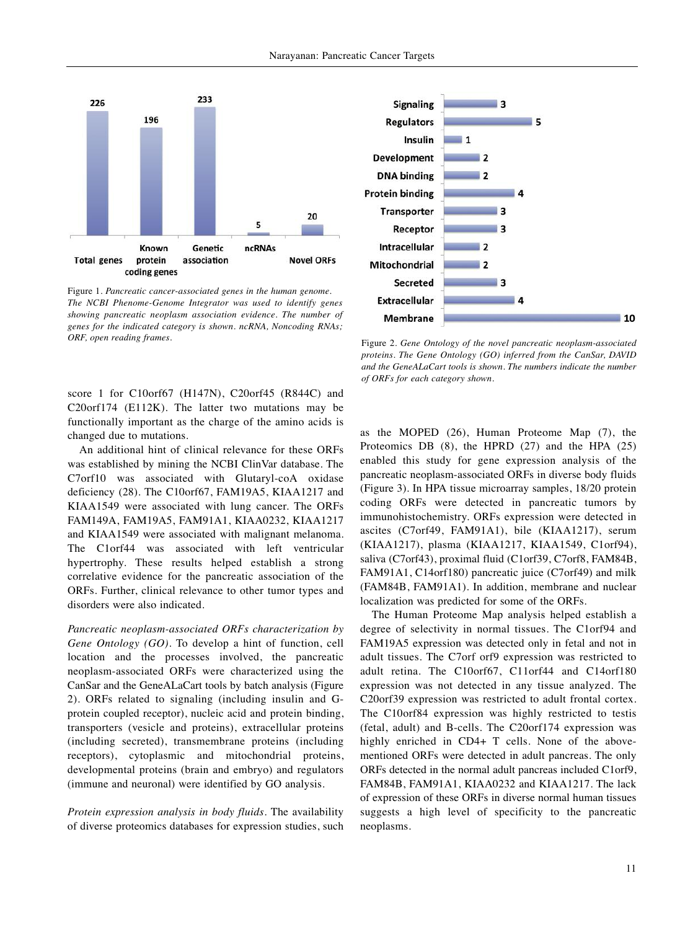

Figure 1. *Pancreatic cancer-associated genes in the human genome. The NCBI Phenome-Genome Integrator was used to identify genes showing pancreatic neoplasm association evidence. The number of genes for the indicated category is shown. ncRNA, Noncoding RNAs; ORF, open reading frames.* Figure 2. *Gene Ontology of the novel pancreatic neoplasm-associated*

score 1 for C10orf67 (H147N), C20orf45 (R844C) and C20orf174 (E112K). The latter two mutations may be functionally important as the charge of the amino acids is changed due to mutations.

An additional hint of clinical relevance for these ORFs was established by mining the NCBI ClinVar database. The C7orf10 was associated with Glutaryl-coA oxidase deficiency (28). The C10orf67, FAM19A5, KIAA1217 and KIAA1549 were associated with lung cancer. The ORFs FAM149A, FAM19A5, FAM91A1, KIAA0232, KIAA1217 and KIAA1549 were associated with malignant melanoma. The C1orf44 was associated with left ventricular hypertrophy. These results helped establish a strong correlative evidence for the pancreatic association of the ORFs. Further, clinical relevance to other tumor types and disorders were also indicated.

*Pancreatic neoplasm-associated ORFs characterization by Gene Ontology (GO).* To develop a hint of function, cell location and the processes involved, the pancreatic neoplasm-associated ORFs were characterized using the CanSar and the GeneALaCart tools by batch analysis (Figure 2). ORFs related to signaling (including insulin and Gprotein coupled receptor), nucleic acid and protein binding, transporters (vesicle and proteins), extracellular proteins (including secreted), transmembrane proteins (including receptors), cytoplasmic and mitochondrial proteins, developmental proteins (brain and embryo) and regulators (immune and neuronal) were identified by GO analysis.

*Protein expression analysis in body fluids.* The availability of diverse proteomics databases for expression studies, such



*proteins. The Gene Ontology (GO) inferred from the CanSar, DAVID and the GeneALaCart tools is shown. The numbers indicate the number of ORFs for each category shown.*

as the MOPED (26), Human Proteome Map (7), the Proteomics DB (8), the HPRD (27) and the HPA (25) enabled this study for gene expression analysis of the pancreatic neoplasm-associated ORFs in diverse body fluids (Figure 3). In HPA tissue microarray samples, 18/20 protein coding ORFs were detected in pancreatic tumors by immunohistochemistry. ORFs expression were detected in ascites (C7orf49, FAM91A1), bile (KIAA1217), serum (KIAA1217), plasma (KIAA1217, KIAA1549, C1orf94), saliva (C7orf43), proximal fluid (C1orf39, C7orf8, FAM84B, FAM91A1, C14orf180) pancreatic juice (C7orf49) and milk (FAM84B, FAM91A1). In addition, membrane and nuclear localization was predicted for some of the ORFs.

The Human Proteome Map analysis helped establish a degree of selectivity in normal tissues. The C1orf94 and FAM19A5 expression was detected only in fetal and not in adult tissues. The C7orf orf9 expression was restricted to adult retina. The C10orf67, C11orf44 and C14orf180 expression was not detected in any tissue analyzed. The C20orf39 expression was restricted to adult frontal cortex. The C10orf84 expression was highly restricted to testis (fetal, adult) and B-cells. The C20orf174 expression was highly enriched in CD4+ T cells. None of the abovementioned ORFs were detected in adult pancreas. The only ORFs detected in the normal adult pancreas included C1orf9, FAM84B, FAM91A1, KIAA0232 and KIAA1217. The lack of expression of these ORFs in diverse normal human tissues suggests a high level of specificity to the pancreatic neoplasms.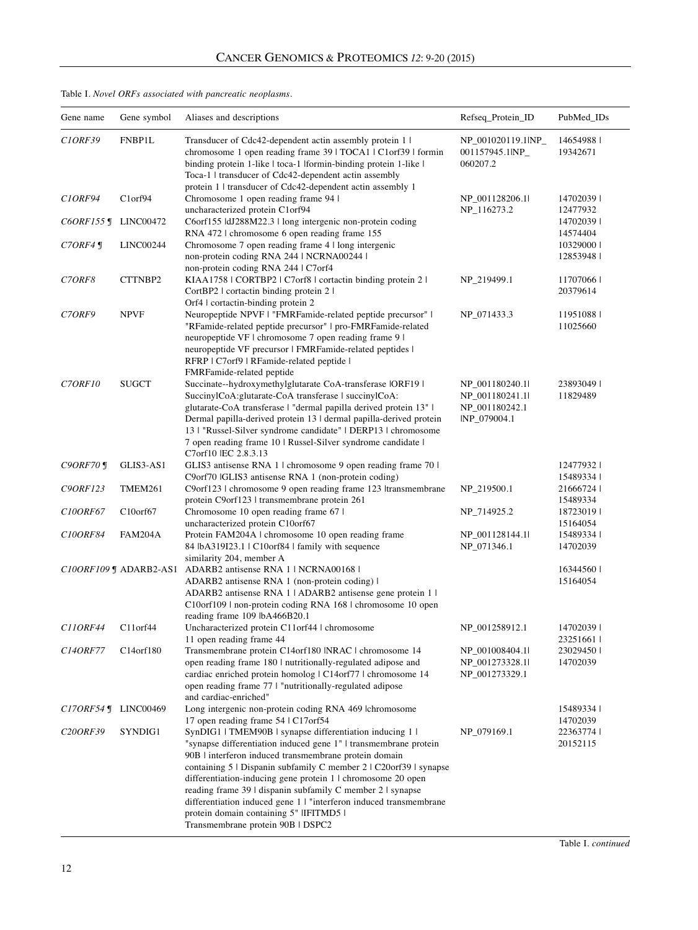# Table I. *Novel ORFs associated with pancreatic neoplasms.*

| Gene name             | Gene symbol                        | Aliases and descriptions                                                                                                                                                                                                                                                                                                                                                                                                                                                                                                                       | Refseq_Protein_ID                                                  | PubMed_IDs                          |
|-----------------------|------------------------------------|------------------------------------------------------------------------------------------------------------------------------------------------------------------------------------------------------------------------------------------------------------------------------------------------------------------------------------------------------------------------------------------------------------------------------------------------------------------------------------------------------------------------------------------------|--------------------------------------------------------------------|-------------------------------------|
| C <sub>1</sub> ORF39  | FNBP1L                             | Transducer of Cdc42-dependent actin assembly protein 1 l<br>chromosome 1 open reading frame 39   TOCA1   C1orf39   formin<br>binding protein 1-like   toca-1   formin-binding protein 1-like  <br>Toca-1   transducer of Cdc42-dependent actin assembly                                                                                                                                                                                                                                                                                        | NP_001020119.1lNP_<br>001157945.1INP_<br>060207.2                  | 146549881<br>19342671               |
| C <sub>1</sub> ORF94  | Clorf94                            | protein 1   transducer of Cdc42-dependent actin assembly 1<br>Chromosome 1 open reading frame 94 l                                                                                                                                                                                                                                                                                                                                                                                                                                             | NP_001128206.11                                                    | 14702039                            |
| $CORF155$ J           | LINC00472                          | uncharacterized protein C1orf94<br>C6orf155 ldJ288M22.3   long intergenic non-protein coding<br>RNA 472   chromosome 6 open reading frame 155                                                                                                                                                                                                                                                                                                                                                                                                  | NP_116273.2                                                        | 12477932<br>14702039                |
| $C7ORF4 \text{ J}$    | LINC00244                          | Chromosome 7 open reading frame 4   long intergenic<br>non-protein coding RNA 244   NCRNA00244  <br>non-protein coding RNA 244   C7orf4                                                                                                                                                                                                                                                                                                                                                                                                        |                                                                    | 14574404<br>10329000 l<br>128539481 |
| C7ORF8                | CTTNBP2                            | KIAA1758   CORTBP2   C7orf8   cortactin binding protein 2  <br>CortBP2   cortactin binding protein 2                                                                                                                                                                                                                                                                                                                                                                                                                                           | NP_219499.1                                                        | 11707066<br>20379614                |
| C7ORF9                | <b>NPVF</b>                        | Orf4 cortactin-binding protein 2<br>Neuropeptide NPVF   "FMRFamide-related peptide precursor"  <br>"RFamide-related peptide precursor"   pro-FMRFamide-related<br>neuropeptide VF   chromosome 7 open reading frame 9  <br>neuropeptide VF precursor   FMRFamide-related peptides  <br>RFRP   C7orf9   RFamide-related peptide  <br>FMRFamide-related peptide                                                                                                                                                                                  | NP_071433.3                                                        | 11951088<br>11025660                |
| C7ORF10               | <b>SUGCT</b>                       | Succinate--hydroxymethylglutarate CoA-transferase IORF19  <br>SuccinylCoA:glutarate-CoA transferase   succinylCoA:<br>glutarate-CoA transferase   "dermal papilla derived protein 13"  <br>Dermal papilla-derived protein 13   dermal papilla-derived protein<br>13   "Russel-Silver syndrome candidate"   DERP13   chromosome<br>7 open reading frame 10   Russel-Silver syndrome candidate  <br>C7orf10 IEC 2.8.3.13                                                                                                                         | NP_001180240.1<br>NP 001180241.1<br>NP_001180242.1<br>INP_079004.1 | 238930491<br>11829489               |
| $C9ORF70$ ¶           | GLIS3-AS1                          | GLIS3 antisense RNA 1   chromosome 9 open reading frame 70                                                                                                                                                                                                                                                                                                                                                                                                                                                                                     |                                                                    | 124779321                           |
| C90RF123              | TMEM261                            | C9orf70 lGLIS3 antisense RNA 1 (non-protein coding)<br>C9orf123   chromosome 9 open reading frame 123  transmembrane<br>protein C9orf123   transmembrane protein 261                                                                                                                                                                                                                                                                                                                                                                           | NP_219500.1                                                        | 154893341<br>21666724<br>15489334   |
| C10ORF67              | $C10$ orf $67$                     | Chromosome 10 open reading frame 67 l<br>uncharacterized protein C10orf67                                                                                                                                                                                                                                                                                                                                                                                                                                                                      | NP_714925.2                                                        | 187230191<br>15164054               |
| C100RF84              | FAM204A                            | Protein FAM204A   chromosome 10 open reading frame<br>84 lbA319I23.1   C10orf84   family with sequence<br>similarity 204, member A                                                                                                                                                                                                                                                                                                                                                                                                             | NP_001128144.1<br>NP_071346.1                                      | 154893341<br>14702039               |
|                       | $CIOORFIO9 \text{ J}$ ADARB2-AS1   | ADARB2 antisense RNA 1   NCRNA00168  <br>ADARB2 antisense RNA 1 (non-protein coding) l<br>ADARB2 antisense RNA 1   ADARB2 antisense gene protein 1  <br>C10orf109   non-protein coding RNA 168   chromosome 10 open                                                                                                                                                                                                                                                                                                                            |                                                                    | 16344560<br>15164054                |
| C110RF44              | $C11$ or $f44$                     | reading frame 109 lbA466B20.1<br>Uncharacterized protein C11orf44   chromosome<br>11 open reading frame 44                                                                                                                                                                                                                                                                                                                                                                                                                                     | NP_001258912.1                                                     | 14702039  <br>23251661              |
| C140RF77              | C <sub>14</sub> orf <sub>180</sub> | Transmembrane protein C14orf180 INRAC   chromosome 14<br>open reading frame 180   nutritionally-regulated adipose and<br>cardiac enriched protein homolog   C14orf77   chromosome 14<br>open reading frame 77 l "nutritionally-regulated adipose<br>and cardiac-enriched"                                                                                                                                                                                                                                                                      | NP 001008404.1<br>NP_001273328.1l<br>NP_001273329.1                | 23029450<br>14702039                |
| $C17ORF54$ ¶          | LINC00469                          | Long intergenic non-protein coding RNA 469 lchromosome<br>17 open reading frame 54   C17orf54                                                                                                                                                                                                                                                                                                                                                                                                                                                  |                                                                    | 154893341<br>14702039               |
| C <sub>20</sub> ORF39 | SYNDIG1                            | SynDIG1   TMEM90B   synapse differentiation inducing 1  <br>"synapse differentiation induced gene 1"   transmembrane protein<br>90B   interferon induced transmembrane protein domain<br>containing 5   Dispanin subfamily C member 2   C20orf39   synapse<br>differentiation-inducing gene protein 1   chromosome 20 open<br>reading frame 39   dispanin subfamily C member 2   synapse<br>differentiation induced gene 1   "interferon induced transmembrane<br>protein domain containing 5" IIFITMD5 I<br>Transmembrane protein 90B   DSPC2 | NP_079169.1                                                        | 223637741<br>20152115               |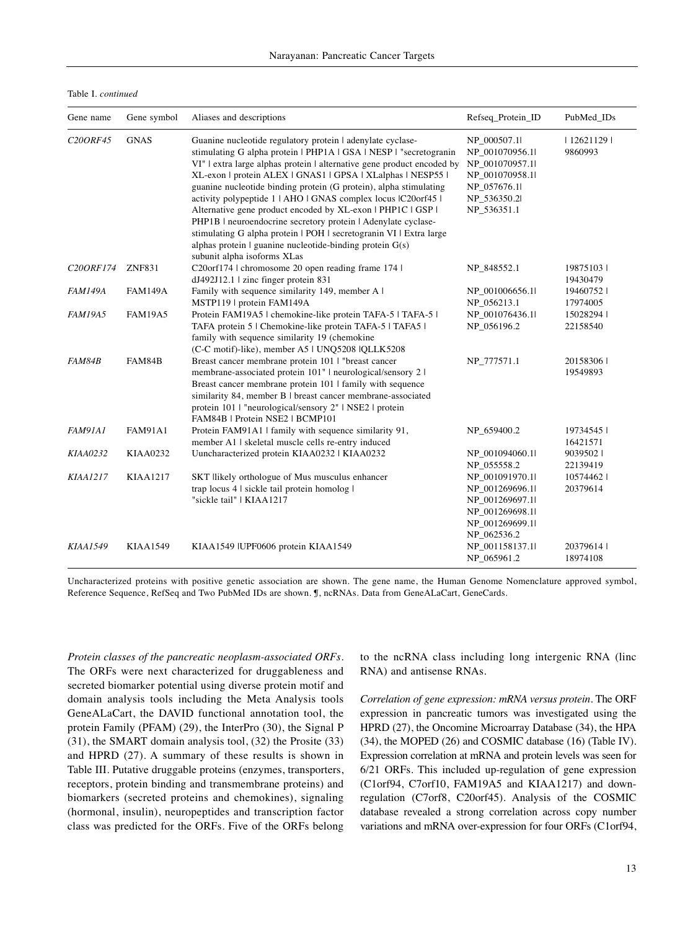Table I. *continued*

| Gene name              | Gene symbol     | Aliases and descriptions                                                                                                                                                                                                                                                                                                                                                                                                                                                                                                                                                                                                                                                                                                 | Refseq_Protein_ID                                                                                                   | PubMed_IDs            |
|------------------------|-----------------|--------------------------------------------------------------------------------------------------------------------------------------------------------------------------------------------------------------------------------------------------------------------------------------------------------------------------------------------------------------------------------------------------------------------------------------------------------------------------------------------------------------------------------------------------------------------------------------------------------------------------------------------------------------------------------------------------------------------------|---------------------------------------------------------------------------------------------------------------------|-----------------------|
| C20ORF45               | <b>GNAS</b>     | Guanine nucleotide regulatory protein   adenylate cyclase-<br>stimulating G alpha protein   PHP1A   GSA   NESP   "secretogranin<br>VI"   extra large alphas protein   alternative gene product encoded by<br>XL-exon   protein ALEX   GNAS1   GPSA   XLalphas   NESP55  <br>guanine nucleotide binding protein (G protein), alpha stimulating<br>activity polypeptide 1   AHO   GNAS complex locus   C20orf45  <br>Alternative gene product encoded by XL-exon   PHP1C   GSP  <br>PHP1B   neuroendocrine secretory protein   Adenylate cyclase-<br>stimulating G alpha protein   POH   secretogranin VI   Extra large<br>alphas protein $\vert$ guanine nucleotide-binding protein $G(s)$<br>subunit alpha isoforms XLas | NP_000507.1l<br>NP_001070956.1l<br>NP 001070957.1<br>NP_001070958.1l<br>NP 057676.11<br>NP_536350.2l<br>NP_536351.1 | 12621129  <br>9860993 |
| C <sub>20</sub> ORF174 | <b>ZNF831</b>   | C20orf174   chromosome 20 open reading frame 174  <br>dJ492J12.1   zinc finger protein 831                                                                                                                                                                                                                                                                                                                                                                                                                                                                                                                                                                                                                               | NP_848552.1                                                                                                         | 198751031<br>19430479 |
| <b>FAM149A</b>         | <b>FAM149A</b>  | Family with sequence similarity 149, member A I<br>MSTP119   protein FAM149A                                                                                                                                                                                                                                                                                                                                                                                                                                                                                                                                                                                                                                             | NP_001006656.1l<br>NP 056213.1                                                                                      | 194607521<br>17974005 |
| FAM19A5                | <b>FAM19A5</b>  | Protein FAM19A5   chemokine-like protein TAFA-5   TAFA-5  <br>TAFA protein 5   Chemokine-like protein TAFA-5   TAFA5  <br>family with sequence similarity 19 (chemokine<br>(C-C motif)-like), member A5   UNQ5208  QLLK5208                                                                                                                                                                                                                                                                                                                                                                                                                                                                                              | NP_001076436.1<br>NP_056196.2                                                                                       | 150282941<br>22158540 |
| FAM84B                 | FAM84B          | Breast cancer membrane protein 101 l "breast cancer<br>membrane-associated protein 101"   neurological/sensory 2  <br>Breast cancer membrane protein 101   family with sequence<br>similarity 84, member B   breast cancer membrane-associated<br>protein 101   "neurological/sensory 2"   NSE2   protein<br>FAM84B   Protein NSE2   BCMP101                                                                                                                                                                                                                                                                                                                                                                             | NP_777571.1                                                                                                         | 201583061<br>19549893 |
| <b>FAM91A1</b>         | <b>FAM91A1</b>  | Protein FAM91A1   family with sequence similarity 91,<br>member A1   skeletal muscle cells re-entry induced                                                                                                                                                                                                                                                                                                                                                                                                                                                                                                                                                                                                              | NP 659400.2                                                                                                         | 197345451<br>16421571 |
| <b>KIAA0232</b>        | KIAA0232        | Uuncharacterized protein KIAA0232   KIAA0232                                                                                                                                                                                                                                                                                                                                                                                                                                                                                                                                                                                                                                                                             | NP_001094060.1l<br>NP_055558.2                                                                                      | 90395021<br>22139419  |
| <b>KIAA1217</b>        | <b>KIAA1217</b> | SKT llikely orthologue of Mus musculus enhancer<br>trap locus 4   sickle tail protein homolog  <br>"sickle tail"   KIAA1217                                                                                                                                                                                                                                                                                                                                                                                                                                                                                                                                                                                              | NP_001091970.1l<br>NP_001269696.1l<br>NP_001269697.1l<br>NP_001269698.1l<br>NP_001269699.1<br>NP_062536.2           | 105744621<br>20379614 |
| <b>KIAA1549</b>        | <b>KIAA1549</b> | KIAA1549   UPF0606 protein KIAA1549                                                                                                                                                                                                                                                                                                                                                                                                                                                                                                                                                                                                                                                                                      | NP_001158137.1l<br>NP_065961.2                                                                                      | 203796141<br>18974108 |

Uncharacterized proteins with positive genetic association are shown. The gene name, the Human Genome Nomenclature approved symbol, Reference Sequence, RefSeq and Two PubMed IDs are shown. ¶, ncRNAs. Data from GeneALaCart, GeneCards.

*Protein classes of the pancreatic neoplasm-associated ORFs*. The ORFs were next characterized for druggableness and secreted biomarker potential using diverse protein motif and domain analysis tools including the Meta Analysis tools GeneALaCart, the DAVID functional annotation tool, the protein Family (PFAM) (29), the InterPro (30), the Signal P (31), the SMART domain analysis tool, (32) the Prosite (33) and HPRD (27). A summary of these results is shown in Table III. Putative druggable proteins (enzymes, transporters, receptors, protein binding and transmembrane proteins) and biomarkers (secreted proteins and chemokines), signaling (hormonal, insulin), neuropeptides and transcription factor class was predicted for the ORFs. Five of the ORFs belong to the ncRNA class including long intergenic RNA (linc RNA) and antisense RNAs.

*Correlation of gene expression: mRNA versus protein.* The ORF expression in pancreatic tumors was investigated using the HPRD (27), the Oncomine Microarray Database (34), the HPA (34), the MOPED (26) and COSMIC database (16) (Table IV). Expression correlation at mRNA and protein levels was seen for 6/21 ORFs. This included up-regulation of gene expression (C1orf94, C7orf10, FAM19A5 and KIAA1217) and downregulation (C7orf8, C20orf45). Analysis of the COSMIC database revealed a strong correlation across copy number variations and mRNA over-expression for four ORFs (C1orf94,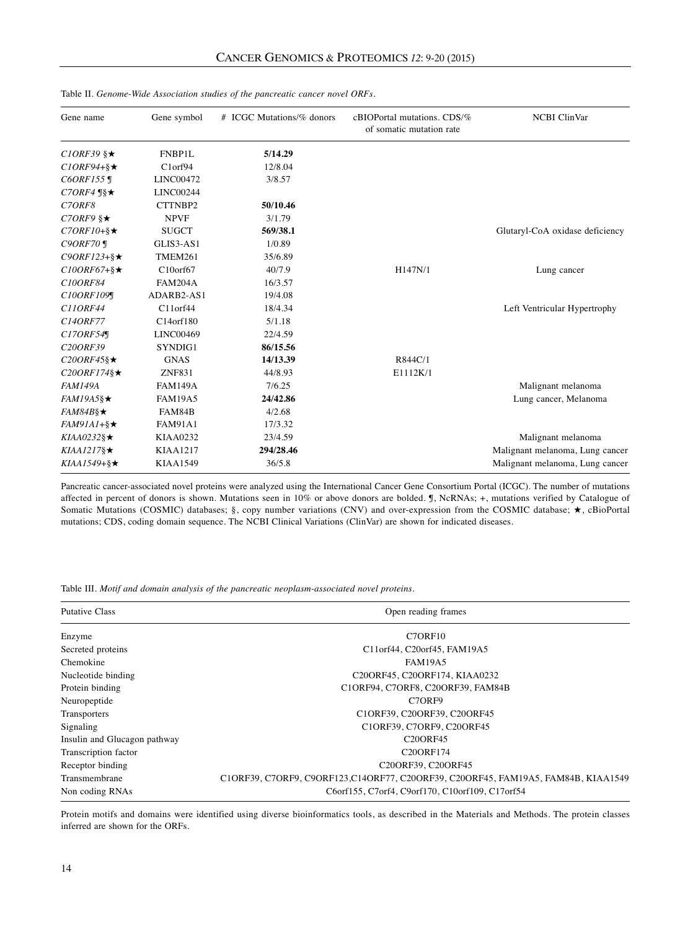| Gene name                         | Gene symbol     | # ICGC Mutations/% donors | cBIOPortal mutations. CDS/%<br>of somatic mutation rate | <b>NCBI</b> ClinVar             |
|-----------------------------------|-----------------|---------------------------|---------------------------------------------------------|---------------------------------|
| $CIORF39$ § $\star$               | FNBP1L          | 5/14.29                   |                                                         |                                 |
| $C1ORF94 + \S \star$              | Clorf94         | 12/8.04                   |                                                         |                                 |
| $CORF155$ ¶                       | LINC00472       | 3/8.57                    |                                                         |                                 |
| $C7ORF4 \text{ }\mathbb{S} \star$ | LINC00244       |                           |                                                         |                                 |
| C <sub>7</sub> ORF <sub>8</sub>   | CTTNBP2         | 50/10.46                  |                                                         |                                 |
| $C7ORF9$ § $\star$                | <b>NPVF</b>     | 3/1.79                    |                                                         |                                 |
| $C7ORF10+\S\times$                | <b>SUGCT</b>    | 569/38.1                  |                                                         | Glutaryl-CoA oxidase deficiency |
| $C9ORF70$ ¶                       | GLIS3-AS1       | 1/0.89                    |                                                         |                                 |
| $C9ORF123 + \$                    | TMEM261         | 35/6.89                   |                                                         |                                 |
| $C10ORF67 +$ § $\star$            | $C10$ orf $67$  | 40/7.9                    | H147N/1                                                 | Lung cancer                     |
| C10ORF84                          | <b>FAM204A</b>  | 16/3.57                   |                                                         |                                 |
| C10ORF109¶                        | ADARB2-AS1      | 19/4.08                   |                                                         |                                 |
| C110RF44                          | $C11$ orf $44$  | 18/4.34                   |                                                         | Left Ventricular Hypertrophy    |
| C140RF77                          | C14orf180       | 5/1.18                    |                                                         |                                 |
| C17ORF54                          | LINC00469       | 22/4.59                   |                                                         |                                 |
| C20ORF39                          | SYNDIG1         | 86/15.56                  |                                                         |                                 |
| $C20ORF45\$                       | <b>GNAS</b>     | 14/13.39                  | R844C/1                                                 |                                 |
| $C20ORF174\$                      | <b>ZNF831</b>   | 44/8.93                   | E1112K/1                                                |                                 |
| <b>FAM149A</b>                    | <b>FAM149A</b>  | 7/6.25                    |                                                         | Malignant melanoma              |
| $FAM19A5\$                        | <b>FAM19A5</b>  | 24/42.86                  |                                                         | Lung cancer, Melanoma           |
| $FAM84B\$                         | FAM84B          | 4/2.68                    |                                                         |                                 |
| $FAM9IA1 + \$                     | <b>FAM91A1</b>  | 17/3.32                   |                                                         |                                 |
| $KIAA0232\$                       | KIAA0232        | 23/4.59                   |                                                         | Malignant melanoma              |
| $KIAA1217\$                       | <b>KIAA1217</b> | 294/28.46                 |                                                         | Malignant melanoma, Lung cancer |
| $KIAA1549+$ § $\star$             | <b>KIAA1549</b> | 36/5.8                    |                                                         | Malignant melanoma, Lung cancer |

Table II*. Genome-Wide Association studies of the pancreatic cancer novel ORFs.*

Pancreatic cancer-associated novel proteins were analyzed using the International Cancer Gene Consortium Portal (ICGC). The number of mutations affected in percent of donors is shown. Mutations seen in 10% or above donors are bolded. ¶, NcRNAs; +, mutations verified by Catalogue of Somatic Mutations (COSMIC) databases; §, copy number variations (CNV) and over-expression from the COSMIC database; ★, cBioPortal mutations; CDS, coding domain sequence. The NCBI Clinical Variations (ClinVar) are shown for indicated diseases.

Table III. *Motif and domain analysis of the pancreatic neoplasm-associated novel proteins.*

| <b>Putative Class</b>        | Open reading frames                                                                |  |  |
|------------------------------|------------------------------------------------------------------------------------|--|--|
| Enzyme                       | C7ORF10                                                                            |  |  |
| Secreted proteins            | C11orf44, C20orf45, FAM19A5                                                        |  |  |
| Chemokine                    | <b>FAM19A5</b>                                                                     |  |  |
| Nucleotide binding           | C20ORF45, C20ORF174, KIAA0232                                                      |  |  |
| Protein binding              | C1ORF94, C7ORF8, C20ORF39, FAM84B                                                  |  |  |
| Neuropeptide                 | C <sub>7</sub> OR <sub>F9</sub>                                                    |  |  |
| Transporters                 | C1ORF39, C20ORF39, C20ORF45                                                        |  |  |
| Signaling                    | C10RF39, C70RF9, C200RF45                                                          |  |  |
| Insulin and Glucagon pathway | <b>C20ORF45</b>                                                                    |  |  |
| Transcription factor         | C20ORF174                                                                          |  |  |
| Receptor binding             | C20ORF39, C20ORF45                                                                 |  |  |
| Transmembrane                | C10RF39, C70RF9, C90RF123, C140RF77, C200RF39, C200RF45, FAM19A5, FAM84B, KIAA1549 |  |  |
| Non coding RNAs              | C6orf155, C7orf4, C9orf170, C10orf109, C17orf54                                    |  |  |

Protein motifs and domains were identified using diverse bioinformatics tools, as described in the Materials and Methods. The protein classes inferred are shown for the ORFs.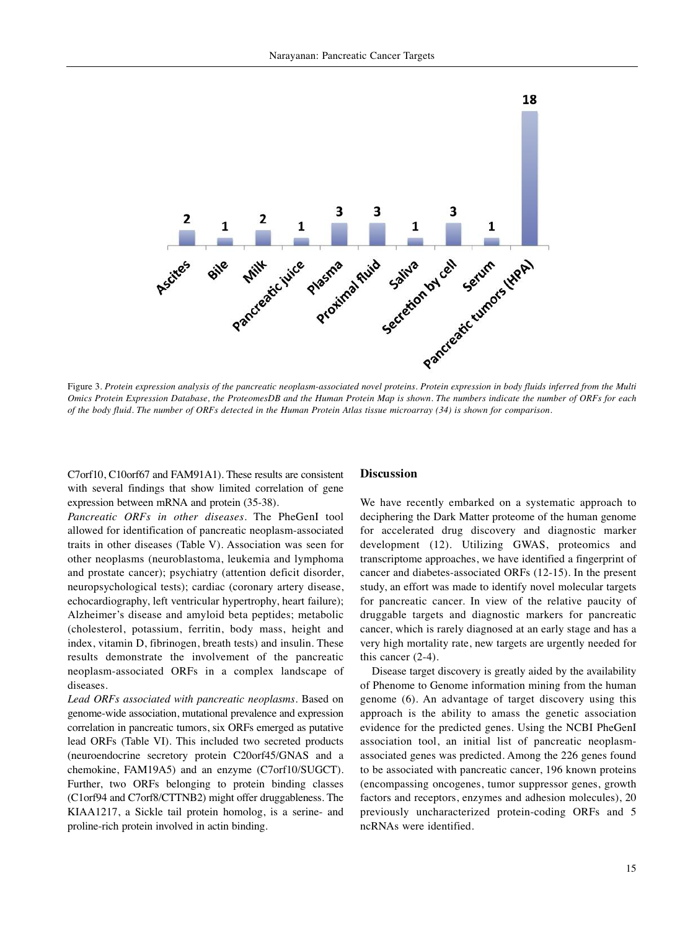

Figure 3. Protein expression analysis of the pancreatic neoplasm-associated novel proteins. Protein expression in body fluids inferred from the Multi Omics Protein Expression Database, the ProteomesDB and the Human Protein Map is shown. The numbers indicate the number of ORFs for each of the body fluid. The number of ORFs detected in the Human Protein Atlas tissue microarray (34) is shown for comparison.

C7orf10, C10orf67 and FAM91A1). These results are consistent with several findings that show limited correlation of gene expression between mRNA and protein (35-38).

*Pancreatic ORFs in other diseases.* The PheGenI tool allowed for identification of pancreatic neoplasm-associated traits in other diseases (Table V). Association was seen for other neoplasms (neuroblastoma, leukemia and lymphoma and prostate cancer); psychiatry (attention deficit disorder, neuropsychological tests); cardiac (coronary artery disease, echocardiography, left ventricular hypertrophy, heart failure); Alzheimer's disease and amyloid beta peptides; metabolic (cholesterol, potassium, ferritin, body mass, height and index, vitamin D, fibrinogen, breath tests) and insulin. These results demonstrate the involvement of the pancreatic neoplasm-associated ORFs in a complex landscape of diseases.

*Lead ORFs associated with pancreatic neoplasms.* Based on genome-wide association, mutational prevalence and expression correlation in pancreatic tumors, six ORFs emerged as putative lead ORFs (Table VI). This included two secreted products (neuroendocrine secretory protein C20orf45/GNAS and a chemokine, FAM19A5) and an enzyme (C7orf10/SUGCT). Further, two ORFs belonging to protein binding classes (C1orf94 and C7orf8/CTTNB2) might offer druggableness. The KIAA1217, a Sickle tail protein homolog, is a serine- and proline-rich protein involved in actin binding.

#### **Discussion**

We have recently embarked on a systematic approach to deciphering the Dark Matter proteome of the human genome for accelerated drug discovery and diagnostic marker development (12). Utilizing GWAS, proteomics and transcriptome approaches, we have identified a fingerprint of cancer and diabetes-associated ORFs (12-15). In the present study, an effort was made to identify novel molecular targets for pancreatic cancer. In view of the relative paucity of druggable targets and diagnostic markers for pancreatic cancer, which is rarely diagnosed at an early stage and has a very high mortality rate, new targets are urgently needed for this cancer (2-4).

Disease target discovery is greatly aided by the availability of Phenome to Genome information mining from the human genome (6). An advantage of target discovery using this approach is the ability to amass the genetic association evidence for the predicted genes. Using the NCBI PheGenI association tool, an initial list of pancreatic neoplasmassociated genes was predicted. Among the 226 genes found to be associated with pancreatic cancer, 196 known proteins (encompassing oncogenes, tumor suppressor genes, growth factors and receptors, enzymes and adhesion molecules), 20 previously uncharacterized protein-coding ORFs and 5 ncRNAs were identified.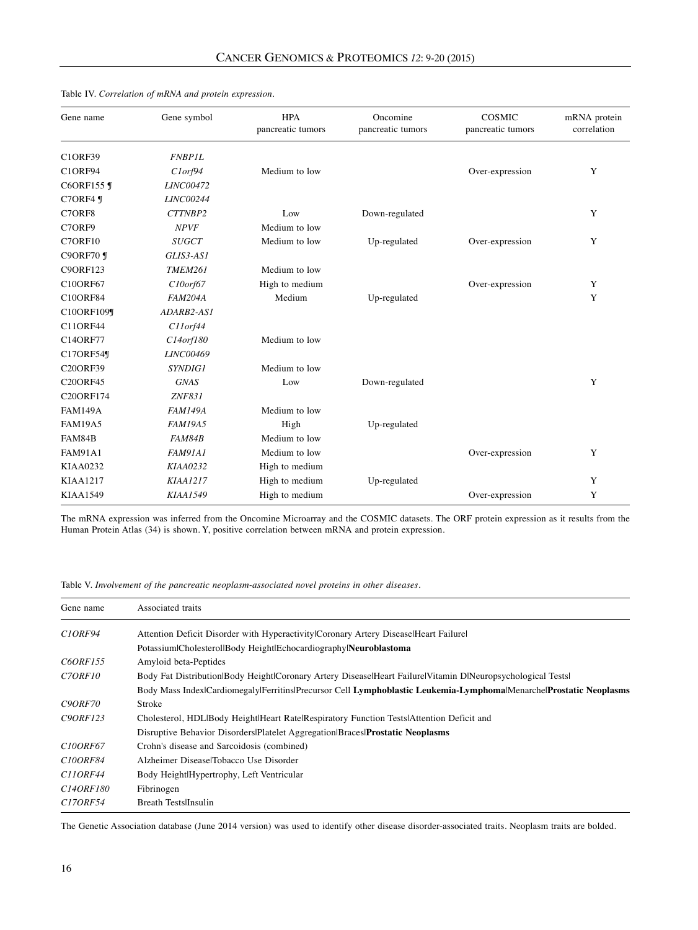| Gene name        | Gene symbol      | <b>HPA</b><br>pancreatic tumors | Oncomine<br>pancreatic tumors | COSMIC<br>pancreatic tumors | mRNA protein<br>correlation |
|------------------|------------------|---------------------------------|-------------------------------|-----------------------------|-----------------------------|
| <b>C1ORF39</b>   | <b>FNBP1L</b>    |                                 |                               |                             |                             |
| <b>C1ORF94</b>   | Clorf94          | Medium to low                   |                               | Over-expression             | Y                           |
| C6ORF155 ¶       | <b>LINC00472</b> |                                 |                               |                             |                             |
| C7ORF4 ¶         | <b>LINC00244</b> |                                 |                               |                             |                             |
| C7ORF8           | CTTNBP2          | Low                             | Down-regulated                |                             | Y                           |
| C7ORF9           | <b>NPVF</b>      | Medium to low                   |                               |                             |                             |
| C7ORF10          | <b>SUGCT</b>     | Medium to low                   | Up-regulated                  | Over-expression             | Y                           |
| <b>C9ORF70</b> ¶ | GLIS3-AS1        |                                 |                               |                             |                             |
| <b>C9ORF123</b>  | <b>TMEM261</b>   | Medium to low                   |                               |                             |                             |
| <b>C10ORF67</b>  | $C10or$ f $67$   | High to medium                  |                               | Over-expression             | Y                           |
| <b>C10ORF84</b>  | <b>FAM204A</b>   | Medium                          | Up-regulated                  |                             | Y                           |
| C10ORF109¶       | ADARB2-AS1       |                                 |                               |                             |                             |
| C11ORF44         | C11orf44         |                                 |                               |                             |                             |
| C14ORF77         | $C14$ orf $180$  | Medium to low                   |                               |                             |                             |
| C17ORF54¶        | LINC00469        |                                 |                               |                             |                             |
| <b>C20ORF39</b>  | <i>SYNDIG1</i>   | Medium to low                   |                               |                             |                             |
| <b>C20ORF45</b>  | <b>GNAS</b>      | Low                             | Down-regulated                |                             | Y                           |
| C20ORF174        | ZNF831           |                                 |                               |                             |                             |
| <b>FAM149A</b>   | <b>FAM149A</b>   | Medium to low                   |                               |                             |                             |
| <b>FAM19A5</b>   | <b>FAM19A5</b>   | High                            | Up-regulated                  |                             |                             |
| FAM84B           | FAM84B           | Medium to low                   |                               |                             |                             |
| <b>FAM91A1</b>   | FAM91A1          | Medium to low                   |                               | Over-expression             | Y                           |
| KIAA0232         | KIAA0232         | High to medium                  |                               |                             |                             |
| <b>KIAA1217</b>  | <b>KIAA1217</b>  | High to medium                  | Up-regulated                  |                             | Y                           |
| <b>KIAA1549</b>  | <b>KIAA1549</b>  | High to medium                  |                               | Over-expression             | Y                           |

Table IV. *Correlation of mRNA and protein expression.*

The mRNA expression was inferred from the Oncomine Microarray and the COSMIC datasets. The ORF protein expression as it results from the Human Protein Atlas (34) is shown. Y, positive correlation between mRNA and protein expression.

Table V. *Involvement of the pancreatic neoplasm-associated novel proteins in other diseases.*

| Gene name                        | Associated traits                                                                                                  |  |  |  |
|----------------------------------|--------------------------------------------------------------------------------------------------------------------|--|--|--|
| CIORF94                          | Attention Deficit Disorder with Hyperactivity Coronary Artery Disease Heart Failure                                |  |  |  |
|                                  | PotassiumlCholesterollBody HeightlEchocardiographylNeuroblastoma                                                   |  |  |  |
| C6ORF155                         | Amyloid beta-Peptides                                                                                              |  |  |  |
| C <sub>7</sub> ORF <sub>10</sub> | Body Fat Distribution Body Height Coronary Artery Disease Heart Failure Vitamin D Neuropsychological Tests         |  |  |  |
|                                  | Body Mass Index Cardiomegaly Ferritins Precursor Cell Lymphoblastic Leukemia-Lymphoma Menarche Prostatic Neoplasms |  |  |  |
| <b>C9ORF70</b>                   | Stroke                                                                                                             |  |  |  |
| C90RF123                         | Cholesterol, HDLIBody HeightIHeart RatelRespiratory Function TestslAttention Deficit and                           |  |  |  |
|                                  | Disruptive Behavior Disorders Platelet Aggregation Braces Prostatic Neoplasms                                      |  |  |  |
| C100RF67                         | Crohn's disease and Sarcoidosis (combined)                                                                         |  |  |  |
| C100RF84                         | Alzheimer DiseaselTobacco Use Disorder                                                                             |  |  |  |
| C110RF44                         | Body Height Hypertrophy, Left Ventricular                                                                          |  |  |  |
| C140RF180                        | Fibrinogen                                                                                                         |  |  |  |
| C170RF54                         | <b>Breath Tests</b> IInsulin                                                                                       |  |  |  |

The Genetic Association database (June 2014 version) was used to identify other disease disorder-associated traits. Neoplasm traits are bolded.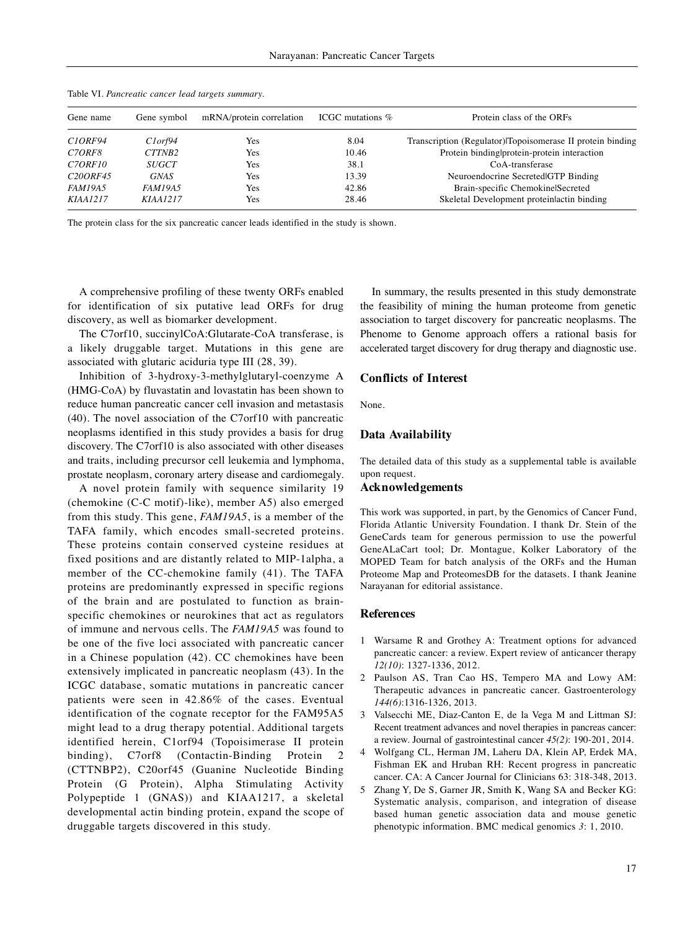| Gene name                        | Gene symbol     | mRNA/protein correlation | ICGC mutations % | Protein class of the ORFs                                  |
|----------------------------------|-----------------|--------------------------|------------------|------------------------------------------------------------|
| C <sub>1</sub> ORF94             | Clorf94         | Yes                      | 8.04             | Transcription (Regulator) Topoisomerase II protein binding |
| C <sub>7</sub> ORF <sub>8</sub>  | CTTNB2          | Yes                      | 10.46            | Protein binding protein-protein interaction                |
| C <sub>7</sub> ORF <sub>10</sub> | <b>SUGCT</b>    | Yes                      | 38.1             | CoA-transferase                                            |
| C <sub>20</sub> ORF45            | <b>GNAS</b>     | Yes                      | 13.39            | Neuroendocrine Secreted GTP Binding                        |
| <b>FAM19A5</b>                   | FAM19A5         | Yes                      | 42.86            | Brain-specific ChemokinelSecreted                          |
| <i>KIAA1217</i>                  | <i>KIAA1217</i> | Yes                      | 28.46            | Skeletal Development proteinlactin binding                 |

Table VI*. Pancreatic cancer lead targets summary.*

The protein class for the six pancreatic cancer leads identified in the study is shown.

A comprehensive profiling of these twenty ORFs enabled for identification of six putative lead ORFs for drug discovery, as well as biomarker development.

The C7orf10, succinylCoA:Glutarate-CoA transferase, is a likely druggable target. Mutations in this gene are associated with glutaric aciduria type III (28, 39).

Inhibition of 3-hydroxy-3-methylglutaryl-coenzyme A (HMG-CoA) by fluvastatin and lovastatin has been shown to reduce human pancreatic cancer cell invasion and metastasis (40). The novel association of the C7orf10 with pancreatic neoplasms identified in this study provides a basis for drug discovery. The C7orf10 is also associated with other diseases and traits, including precursor cell leukemia and lymphoma, prostate neoplasm, coronary artery disease and cardiomegaly.

A novel protein family with sequence similarity 19 (chemokine (C-C motif)-like), member A5) also emerged from this study. This gene, *FAM19A5*, is a member of the TAFA family, which encodes small-secreted proteins. These proteins contain conserved cysteine residues at fixed positions and are distantly related to MIP-1alpha, a member of the CC-chemokine family (41). The TAFA proteins are predominantly expressed in specific regions of the brain and are postulated to function as brainspecific chemokines or neurokines that act as regulators of immune and nervous cells. The *FAM19A5* was found to be one of the five loci associated with pancreatic cancer in a Chinese population (42). CC chemokines have been extensively implicated in pancreatic neoplasm (43). In the ICGC database, somatic mutations in pancreatic cancer patients were seen in 42.86% of the cases. Eventual identification of the cognate receptor for the FAM95A5 might lead to a drug therapy potential. Additional targets identified herein, C1orf94 (Topoisimerase II protein binding), C7orf8 (Contactin-Binding Protein (CTTNBP2), C20orf45 (Guanine Nucleotide Binding Protein (G Protein), Alpha Stimulating Activity Polypeptide 1 (GNAS)) and KIAA1217, a skeletal developmental actin binding protein, expand the scope of druggable targets discovered in this study.

In summary, the results presented in this study demonstrate the feasibility of mining the human proteome from genetic association to target discovery for pancreatic neoplasms. The Phenome to Genome approach offers a rational basis for accelerated target discovery for drug therapy and diagnostic use.

#### **Conflicts of Interest**

None.

#### **Data Availability**

The detailed data of this study as a supplemental table is available upon request.

### **Acknowledgements**

This work was supported, in part, by the Genomics of Cancer Fund, Florida Atlantic University Foundation. I thank Dr. Stein of the GeneCards team for generous permission to use the powerful GeneALaCart tool; Dr. Montague, Kolker Laboratory of the MOPED Team for batch analysis of the ORFs and the Human Proteome Map and ProteomesDB for the datasets. I thank Jeanine Narayanan for editorial assistance.

#### **References**

- 1 Warsame R and Grothey A: Treatment options for advanced pancreatic cancer: a review. Expert review of anticancer therapy *12(10)*: 1327-1336, 2012.
- 2 Paulson AS, Tran Cao HS, Tempero MA and Lowy AM: Therapeutic advances in pancreatic cancer. Gastroenterology *144(6)*:1316-1326, 2013.
- 3 Valsecchi ME, Diaz-Canton E, de la Vega M and Littman SJ: Recent treatment advances and novel therapies in pancreas cancer: a review. Journal of gastrointestinal cancer *45(2)*: 190-201, 2014.
- 4 Wolfgang CL, Herman JM, Laheru DA, Klein AP, Erdek MA, Fishman EK and Hruban RH: Recent progress in pancreatic cancer. CA: A Cancer Journal for Clinicians 63: 318-348, 2013.
- 5 Zhang Y, De S, Garner JR, Smith K, Wang SA and Becker KG: Systematic analysis, comparison, and integration of disease based human genetic association data and mouse genetic phenotypic information. BMC medical genomics *3*: 1, 2010.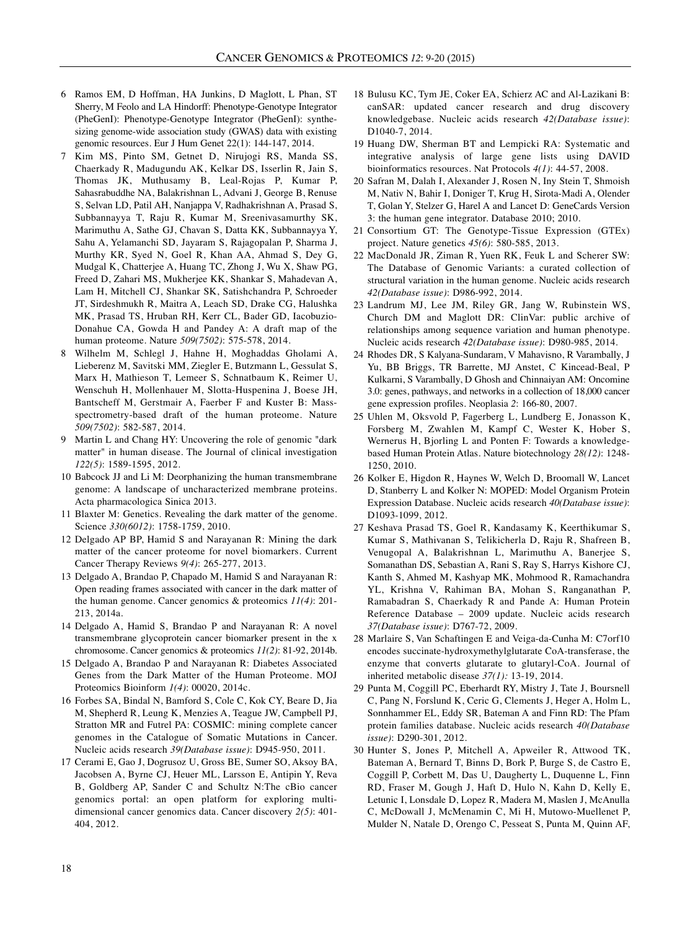- 6 Ramos EM, D Hoffman, HA Junkins, D Maglott, L Phan, ST Sherry, M Feolo and LA Hindorff: Phenotype-Genotype Integrator (PheGenI): Phenotype-Genotype Integrator (PheGenI): synthesizing genome-wide association study (GWAS) data with existing genomic resources. Eur J Hum Genet 22(1): 144-147, 2014.
- 7 Kim MS, Pinto SM, Getnet D, Nirujogi RS, Manda SS, Chaerkady R, Madugundu AK, Kelkar DS, Isserlin R, Jain S, Thomas JK, Muthusamy B, Leal-Rojas P, Kumar P, Sahasrabuddhe NA, Balakrishnan L, Advani J, George B, Renuse S, Selvan LD, Patil AH, Nanjappa V, Radhakrishnan A, Prasad S, Subbannayya T, Raju R, Kumar M, Sreenivasamurthy SK, Marimuthu A, Sathe GJ, Chavan S, Datta KK, Subbannayya Y, Sahu A, Yelamanchi SD, Jayaram S, Rajagopalan P, Sharma J, Murthy KR, Syed N, Goel R, Khan AA, Ahmad S, Dey G, Mudgal K, Chatterjee A, Huang TC, Zhong J, Wu X, Shaw PG, Freed D, Zahari MS, Mukherjee KK, Shankar S, Mahadevan A, Lam H, Mitchell CJ, Shankar SK, Satishchandra P, Schroeder JT, Sirdeshmukh R, Maitra A, Leach SD, Drake CG, Halushka MK, Prasad TS, Hruban RH, Kerr CL, Bader GD, Iacobuzio-Donahue CA, Gowda H and Pandey A: A draft map of the human proteome. Nature *509(7502)*: 575-578, 2014.
- 8 Wilhelm M, Schlegl J, Hahne H, Moghaddas Gholami A, Lieberenz M, Savitski MM, Ziegler E, Butzmann L, Gessulat S, Marx H, Mathieson T, Lemeer S, Schnatbaum K, Reimer U, Wenschuh H, Mollenhauer M, Slotta-Huspenina J, Boese JH, Bantscheff M, Gerstmair A, Faerber F and Kuster B: Massspectrometry-based draft of the human proteome. Nature *509(7502)*: 582-587, 2014.
- 9 Martin L and Chang HY: Uncovering the role of genomic "dark matter" in human disease. The Journal of clinical investigation *122(5)*: 1589-1595, 2012.
- 10 Babcock JJ and Li M: Deorphanizing the human transmembrane genome: A landscape of uncharacterized membrane proteins. Acta pharmacologica Sinica 2013.
- 11 Blaxter M: Genetics. Revealing the dark matter of the genome. Science *330(6012)*: 1758-1759, 2010.
- 12 Delgado AP BP, Hamid S and Narayanan R: Mining the dark matter of the cancer proteome for novel biomarkers. Current Cancer Therapy Reviews *9(4)*: 265-277, 2013.
- 13 Delgado A, Brandao P, Chapado M, Hamid S and Narayanan R: Open reading frames associated with cancer in the dark matter of the human genome. Cancer genomics & proteomics *11(4)*: 201- 213, 2014a.
- 14 Delgado A, Hamid S, Brandao P and Narayanan R: A novel transmembrane glycoprotein cancer biomarker present in the x chromosome. Cancer genomics & proteomics *11(2)*: 81-92, 2014b.
- 15 Delgado A, Brandao P and Narayanan R: Diabetes Associated Genes from the Dark Matter of the Human Proteome. MOJ Proteomics Bioinform *1(4)*: 00020, 2014c.
- 16 Forbes SA, Bindal N, Bamford S, Cole C, Kok CY, Beare D, Jia M, Shepherd R, Leung K, Menzies A, Teague JW, Campbell PJ, Stratton MR and Futrel PA: COSMIC: mining complete cancer genomes in the Catalogue of Somatic Mutations in Cancer. Nucleic acids research *39(Database issue)*: D945-950, 2011.
- 17 Cerami E, Gao J, Dogrusoz U, Gross BE, Sumer SO, Aksoy BA, Jacobsen A, Byrne CJ, Heuer ML, Larsson E, Antipin Y, Reva B, Goldberg AP, Sander C and Schultz N:The cBio cancer genomics portal: an open platform for exploring multidimensional cancer genomics data. Cancer discovery *2(5)*: 401- 404, 2012.
- 18 Bulusu KC, Tym JE, Coker EA, Schierz AC and Al-Lazikani B: canSAR: updated cancer research and drug discovery knowledgebase. Nucleic acids research *42(Database issue)*: D1040-7, 2014.
- 19 Huang DW, Sherman BT and Lempicki RA: Systematic and integrative analysis of large gene lists using DAVID bioinformatics resources. Nat Protocols *4(1)*: 44-57, 2008.
- 20 Safran M, Dalah I, Alexander J, Rosen N, Iny Stein T, Shmoish M, Nativ N, Bahir I, Doniger T, Krug H, Sirota-Madi A, Olender T, Golan Y, Stelzer G, Harel A and Lancet D: GeneCards Version 3: the human gene integrator. Database 2010; 2010.
- 21 Consortium GT: The Genotype-Tissue Expression (GTEx) project. Nature genetics *45(6)*: 580-585, 2013.
- 22 MacDonald JR, Ziman R, Yuen RK, Feuk L and Scherer SW: The Database of Genomic Variants: a curated collection of structural variation in the human genome. Nucleic acids research *42(Database issue)*: D986-992, 2014.
- 23 Landrum MJ, Lee JM, Riley GR, Jang W, Rubinstein WS, Church DM and Maglott DR: ClinVar: public archive of relationships among sequence variation and human phenotype. Nucleic acids research *42(Database issue)*: D980-985, 2014.
- 24 Rhodes DR, S Kalyana-Sundaram, V Mahavisno, R Varambally, J Yu, BB Briggs, TR Barrette, MJ Anstet, C Kincead-Beal, P Kulkarni, S Varambally, D Ghosh and Chinnaiyan AM: Oncomine 3.0: genes, pathways, and networks in a collection of 18,000 cancer gene expression profiles. Neoplasia *2*: 166-80, 2007.
- 25 Uhlen M, Oksvold P, Fagerberg L, Lundberg E, Jonasson K, Forsberg M, Zwahlen M, Kampf C, Wester K, Hober S, Wernerus H, Bjorling L and Ponten F: Towards a knowledgebased Human Protein Atlas. Nature biotechnology *28(12)*: 1248- 1250, 2010.
- 26 Kolker E, Higdon R, Haynes W, Welch D, Broomall W, Lancet D, Stanberry L and Kolker N: MOPED: Model Organism Protein Expression Database. Nucleic acids research *40(Database issue)*: D1093-1099, 2012.
- 27 Keshava Prasad TS, Goel R, Kandasamy K, Keerthikumar S, Kumar S, Mathivanan S, Telikicherla D, Raju R, Shafreen B, Venugopal A, Balakrishnan L, Marimuthu A, Banerjee S, Somanathan DS, Sebastian A, Rani S, Ray S, Harrys Kishore CJ, Kanth S, Ahmed M, Kashyap MK, Mohmood R, Ramachandra YL, Krishna V, Rahiman BA, Mohan S, Ranganathan P, Ramabadran S, Chaerkady R and Pande A: Human Protein Reference Database – 2009 update. Nucleic acids research *37(Database issue)*: D767-72, 2009.
- 28 Marlaire S, Van Schaftingen E and Veiga-da-Cunha M: C7orf10 encodes succinate-hydroxymethylglutarate CoA-transferase, the enzyme that converts glutarate to glutaryl-CoA. Journal of inherited metabolic disease *37(1):* 13-19, 2014.
- 29 Punta M, Coggill PC, Eberhardt RY, Mistry J, Tate J, Boursnell C, Pang N, Forslund K, Ceric G, Clements J, Heger A, Holm L, Sonnhammer EL, Eddy SR, Bateman A and Finn RD: The Pfam protein families database. Nucleic acids research *40(Database issue)*: D290-301, 2012.
- 30 Hunter S, Jones P, Mitchell A, Apweiler R, Attwood TK, Bateman A, Bernard T, Binns D, Bork P, Burge S, de Castro E, Coggill P, Corbett M, Das U, Daugherty L, Duquenne L, Finn RD, Fraser M, Gough J, Haft D, Hulo N, Kahn D, Kelly E, Letunic I, Lonsdale D, Lopez R, Madera M, Maslen J, McAnulla C, McDowall J, McMenamin C, Mi H, Mutowo-Muellenet P, Mulder N, Natale D, Orengo C, Pesseat S, Punta M, Quinn AF,